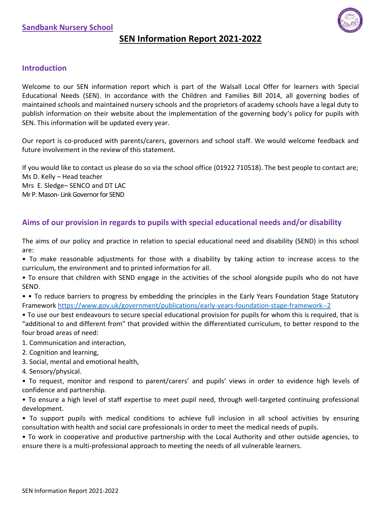

# **SEN Information Report 2021-2022**

### **Introduction**

Welcome to our SEN information report which is part of the Walsall Local Offer for learners with Special Educational Needs (SEN). In accordance with the Children and Families Bill 2014, all governing bodies of maintained schools and maintained nursery schools and the proprietors of academy schools have a legal duty to publish information on their website about the implementation of the governing body's policy for pupils with SEN. This information will be updated every year.

Our report is co-produced with parents/carers, governors and school staff. We would welcome feedback and future involvement in the review of this statement.

If you would like to contact us please do so via the school office (01922 710518). The best people to contact are; Ms D. Kelly – Head teacher Mrs E. Sledge– SENCO and DT LAC Mr P. Mason- Link Governor for SEND

### **Aims of our provision in regards to pupils with special educational needs and/or disability**

The aims of our policy and practice in relation to special educational need and disability (SEND) in this school are:

• To make reasonable adjustments for those with a disability by taking action to increase access to the curriculum, the environment and to printed information for all.

• To ensure that children with SEND engage in the activities of the school alongside pupils who do not have SEND.

• • To reduce barriers to progress by embedding the principles in the Early Years Foundation Stage Statutory Framework<https://www.gov.uk/government/publications/early-years-foundation-stage-framework--2>

- To use our best endeavours to secure special educational provision for pupils for whom this is required, that is "additional to and different from" that provided within the differentiated curriculum, to better respond to the four broad areas of need:
- 1. Communication and interaction,
- 2. Cognition and learning,
- 3. Social, mental and emotional health,
- 4. Sensory/physical.

• To request, monitor and respond to parent/carers' and pupils' views in order to evidence high levels of confidence and partnership.

• To ensure a high level of staff expertise to meet pupil need, through well-targeted continuing professional development.

• To support pupils with medical conditions to achieve full inclusion in all school activities by ensuring consultation with health and social care professionals in order to meet the medical needs of pupils.

• To work in cooperative and productive partnership with the Local Authority and other outside agencies, to ensure there is a multi-professional approach to meeting the needs of all vulnerable learners.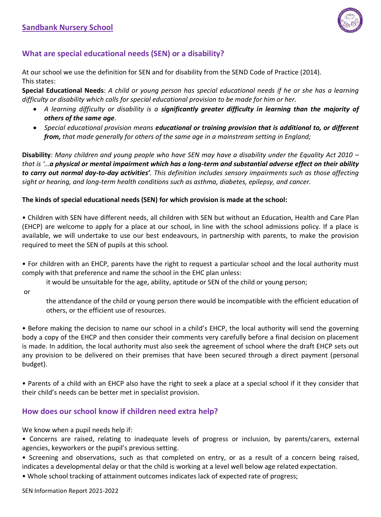

# **What are special educational needs (SEN) or a disability?**

At our school we use the definition for SEN and for disability from the SEND Code of Practice (2014). This states:

**Special Educational Needs**: *A child or young person has special educational needs if he or she has a learning difficulty or disability which calls for special educational provision to be made for him or her.* 

- *A learning difficulty or disability is a significantly greater difficulty in learning than the majority of others of the same age.*
- *Special educational provision means educational or training provision that is additional to, or different from, that made generally for others of the same age in a mainstream setting in England;*

**Disability**: *Many children and young people who have SEN may have a disability under the Equality Act 2010 – that is '…a physical or mental impairment which has a long-term and substantial adverse effect on their ability to carry out normal day-to-day activities'. This definition includes sensory impairments such as those affecting sight or hearing, and long-term health conditions such as asthma, diabetes, epilepsy, and cancer.*

### **The kinds of special educational needs (SEN) for which provision is made at the school:**

• Children with SEN have different needs, all children with SEN but without an Education, Health and Care Plan (EHCP) are welcome to apply for a place at our school, in line with the school admissions policy. If a place is available, we will undertake to use our best endeavours, in partnership with parents, to make the provision required to meet the SEN of pupils at this school.

• For children with an EHCP, parents have the right to request a particular school and the local authority must comply with that preference and name the school in the EHC plan unless:

it would be unsuitable for the age, ability, aptitude or SEN of the child or young person;

or

the attendance of the child or young person there would be incompatible with the efficient education of others, or the efficient use of resources.

• Before making the decision to name our school in a child's EHCP, the local authority will send the governing body a copy of the EHCP and then consider their comments very carefully before a final decision on placement is made. In addition, the local authority must also seek the agreement of school where the draft EHCP sets out any provision to be delivered on their premises that have been secured through a direct payment (personal budget).

• Parents of a child with an EHCP also have the right to seek a place at a special school if it they consider that their child's needs can be better met in specialist provision.

# **How does our school know if children need extra help?**

We know when a pupil needs help if:

• Concerns are raised, relating to inadequate levels of progress or inclusion, by parents/carers, external agencies, keyworkers or the pupil's previous setting.

• Screening and observations, such as that completed on entry, or as a result of a concern being raised, indicates a developmental delay or that the child is working at a level well below age related expectation.

• Whole school tracking of attainment outcomes indicates lack of expected rate of progress;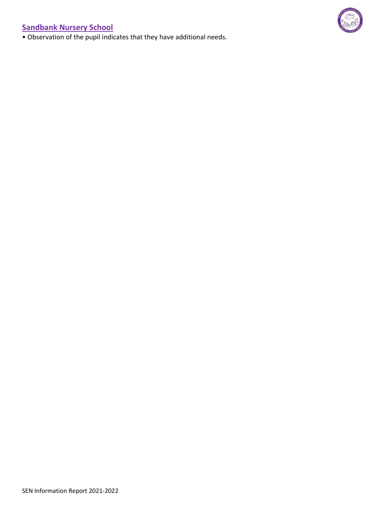• Observation of the pupil indicates that they have additional needs.

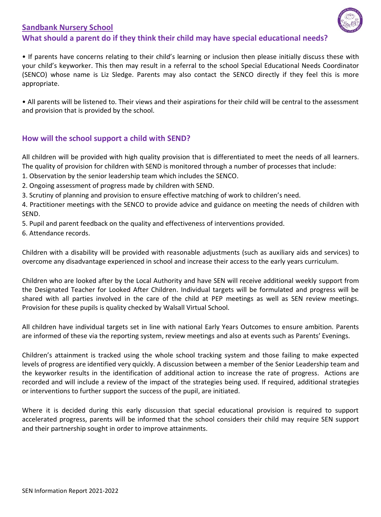# **Sandbank Nursery School What should a parent do if they think their child may have special educational needs?**



• If parents have concerns relating to their child's learning or inclusion then please initially discuss these with your child's keyworker. This then may result in a referral to the school Special Educational Needs Coordinator (SENCO) whose name is Liz Sledge. Parents may also contact the SENCO directly if they feel this is more appropriate.

• All parents will be listened to. Their views and their aspirations for their child will be central to the assessment and provision that is provided by the school.

# **How will the school support a child with SEND?**

All children will be provided with high quality provision that is differentiated to meet the needs of all learners. The quality of provision for children with SEND is monitored through a number of processes that include:

1. Observation by the senior leadership team which includes the SENCO.

2. Ongoing assessment of progress made by children with SEND.

3. Scrutiny of planning and provision to ensure effective matching of work to children's need.

4. Practitioner meetings with the SENCO to provide advice and guidance on meeting the needs of children with SEND.

5. Pupil and parent feedback on the quality and effectiveness of interventions provided.

6. Attendance records.

Children with a disability will be provided with reasonable adjustments (such as auxiliary aids and services) to overcome any disadvantage experienced in school and increase their access to the early years curriculum.

Children who are looked after by the Local Authority and have SEN will receive additional weekly support from the Designated Teacher for Looked After Children. Individual targets will be formulated and progress will be shared with all parties involved in the care of the child at PEP meetings as well as SEN review meetings. Provision for these pupils is quality checked by Walsall Virtual School.

All children have individual targets set in line with national Early Years Outcomes to ensure ambition. Parents are informed of these via the reporting system, review meetings and also at events such as Parents' Evenings.

Children's attainment is tracked using the whole school tracking system and those failing to make expected levels of progress are identified very quickly. A discussion between a member of the Senior Leadership team and the keyworker results in the identification of additional action to increase the rate of progress. Actions are recorded and will include a review of the impact of the strategies being used. If required, additional strategies or interventions to further support the success of the pupil, are initiated.

Where it is decided during this early discussion that special educational provision is required to support accelerated progress, parents will be informed that the school considers their child may require SEN support and their partnership sought in order to improve attainments.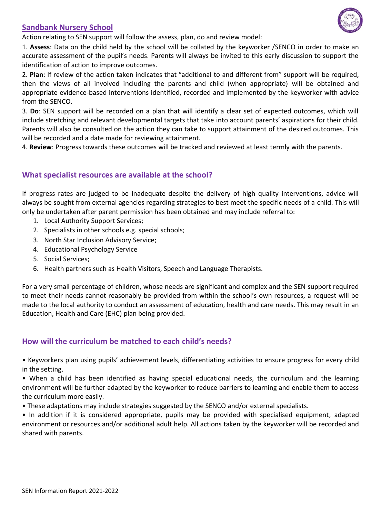Action relating to SEN support will follow the assess, plan, do and review model:

1. **Assess**: Data on the child held by the school will be collated by the keyworker /SENCO in order to make an accurate assessment of the pupil's needs. Parents will always be invited to this early discussion to support the identification of action to improve outcomes.

2. **Plan**: If review of the action taken indicates that "additional to and different from" support will be required, then the views of all involved including the parents and child (when appropriate) will be obtained and appropriate evidence-based interventions identified, recorded and implemented by the keyworker with advice from the SENCO.

3. **Do**: SEN support will be recorded on a plan that will identify a clear set of expected outcomes, which will include stretching and relevant developmental targets that take into account parents' aspirations for their child. Parents will also be consulted on the action they can take to support attainment of the desired outcomes. This will be recorded and a date made for reviewing attainment.

4. **Review**: Progress towards these outcomes will be tracked and reviewed at least termly with the parents.

# **What specialist resources are available at the school?**

If progress rates are judged to be inadequate despite the delivery of high quality interventions, advice will always be sought from external agencies regarding strategies to best meet the specific needs of a child. This will only be undertaken after parent permission has been obtained and may include referral to:

- 1. Local Authority Support Services;
- 2. Specialists in other schools e.g. special schools;
- 3. North Star Inclusion Advisory Service;
- 4. Educational Psychology Service
- 5. Social Services;
- 6. Health partners such as Health Visitors, Speech and Language Therapists.

For a very small percentage of children, whose needs are significant and complex and the SEN support required to meet their needs cannot reasonably be provided from within the school's own resources, a request will be made to the local authority to conduct an assessment of education, health and care needs. This may result in an Education, Health and Care (EHC) plan being provided.

# **How will the curriculum be matched to each child's needs?**

• Keyworkers plan using pupils' achievement levels, differentiating activities to ensure progress for every child in the setting.

• When a child has been identified as having special educational needs, the curriculum and the learning environment will be further adapted by the keyworker to reduce barriers to learning and enable them to access the curriculum more easily.

• These adaptations may include strategies suggested by the SENCO and/or external specialists.

• In addition if it is considered appropriate, pupils may be provided with specialised equipment, adapted environment or resources and/or additional adult help. All actions taken by the keyworker will be recorded and shared with parents.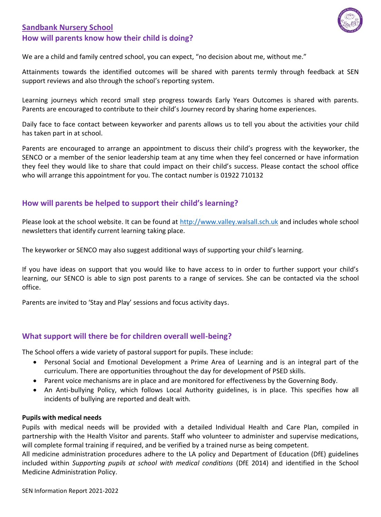# **Sandbank Nursery School How will parents know how their child is doing?**



We are a child and family centred school, you can expect, "no decision about me, without me."

Attainments towards the identified outcomes will be shared with parents termly through feedback at SEN support reviews and also through the school's reporting system.

Learning journeys which record small step progress towards Early Years Outcomes is shared with parents. Parents are encouraged to contribute to their child's Journey record by sharing home experiences.

Daily face to face contact between keyworker and parents allows us to tell you about the activities your child has taken part in at school.

Parents are encouraged to arrange an appointment to discuss their child's progress with the keyworker, the SENCO or a member of the senior leadership team at any time when they feel concerned or have information they feel they would like to share that could impact on their child's success. Please contact the school office who will arrange this appointment for you. The contact number is 01922 710132

# **How will parents be helped to support their child's learning?**

Please look at the school website. It can be found at [http://www.valley.walsall.sch.uk](http://www.valley.walsall.sch.uk/) and includes whole school newsletters that identify current learning taking place.

The keyworker or SENCO may also suggest additional ways of supporting your child's learning.

If you have ideas on support that you would like to have access to in order to further support your child's learning, our SENCO is able to sign post parents to a range of services. She can be contacted via the school office.

Parents are invited to 'Stay and Play' sessions and focus activity days.

### **What support will there be for children overall well-being?**

The School offers a wide variety of pastoral support for pupils. These include:

- Personal Social and Emotional Development a Prime Area of Learning and is an integral part of the curriculum. There are opportunities throughout the day for development of PSED skills.
- Parent voice mechanisms are in place and are monitored for effectiveness by the Governing Body.
- An Anti-bullying Policy, which follows Local Authority guidelines, is in place. This specifies how all incidents of bullying are reported and dealt with.

### **Pupils with medical needs**

Pupils with medical needs will be provided with a detailed Individual Health and Care Plan, compiled in partnership with the Health Visitor and parents. Staff who volunteer to administer and supervise medications, will complete formal training if required, and be verified by a trained nurse as being competent.

All medicine administration procedures adhere to the LA policy and Department of Education (DfE) guidelines included within *Supporting pupils at school with medical conditions* (DfE 2014) and identified in the School Medicine Administration Policy.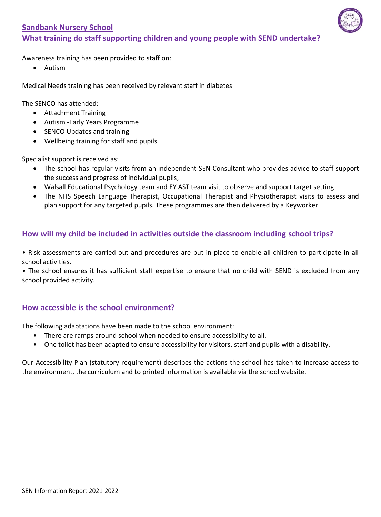

Awareness training has been provided to staff on:

• Autism

Medical Needs training has been received by relevant staff in diabetes

The SENCO has attended:

- Attachment Training
- Autism -Early Years Programme
- SENCO Updates and training
- Wellbeing training for staff and pupils

Specialist support is received as:

- The school has regular visits from an independent SEN Consultant who provides advice to staff support the success and progress of individual pupils,
- Walsall Educational Psychology team and EY AST team visit to observe and support target setting
- The NHS Speech Language Therapist, Occupational Therapist and Physiotherapist visits to assess and plan support for any targeted pupils. These programmes are then delivered by a Keyworker.

# **How will my child be included in activities outside the classroom including school trips?**

- Risk assessments are carried out and procedures are put in place to enable all children to participate in all school activities.
- The school ensures it has sufficient staff expertise to ensure that no child with SEND is excluded from any school provided activity.

# **How accessible is the school environment?**

The following adaptations have been made to the school environment:

- There are ramps around school when needed to ensure accessibility to all.
- One toilet has been adapted to ensure accessibility for visitors, staff and pupils with a disability.

Our Accessibility Plan (statutory requirement) describes the actions the school has taken to increase access to the environment, the curriculum and to printed information is available via the school website.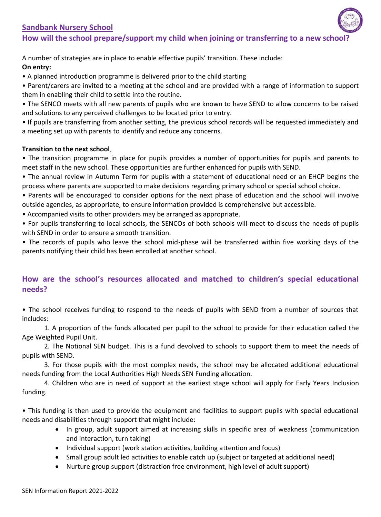# **Sandbank Nursery School** How will the school prepare/support my child when joining or transferring to a new schoo

A number of strategies are in place to enable effective pupils' transition. These include: **On entry:** 

• A planned introduction programme is delivered prior to the child starting

• Parent/carers are invited to a meeting at the school and are provided with a range of information to support them in enabling their child to settle into the routine.

• The SENCO meets with all new parents of pupils who are known to have SEND to allow concerns to be raised and solutions to any perceived challenges to be located prior to entry.

• If pupils are transferring from another setting, the previous school records will be requested immediately and a meeting set up with parents to identify and reduce any concerns.

### **Transition to the next school**,

• The transition programme in place for pupils provides a number of opportunities for pupils and parents to meet staff in the new school. These opportunities are further enhanced for pupils with SEND.

• The annual review in Autumn Term for pupils with a statement of educational need or an EHCP begins the process where parents are supported to make decisions regarding primary school or special school choice.

• Parents will be encouraged to consider options for the next phase of education and the school will involve outside agencies, as appropriate, to ensure information provided is comprehensive but accessible.

• Accompanied visits to other providers may be arranged as appropriate.

• For pupils transferring to local schools, the SENCOs of both schools will meet to discuss the needs of pupils with SEND in order to ensure a smooth transition.

• The records of pupils who leave the school mid-phase will be transferred within five working days of the parents notifying their child has been enrolled at another school.

# **How are the school's resources allocated and matched to children's special educational needs?**

• The school receives funding to respond to the needs of pupils with SEND from a number of sources that includes:

1. A proportion of the funds allocated per pupil to the school to provide for their education called the Age Weighted Pupil Unit.

2. The Notional SEN budget. This is a fund devolved to schools to support them to meet the needs of pupils with SEND.

3. For those pupils with the most complex needs, the school may be allocated additional educational needs funding from the Local Authorities High Needs SEN Funding allocation.

4. Children who are in need of support at the earliest stage school will apply for Early Years Inclusion funding.

• This funding is then used to provide the equipment and facilities to support pupils with special educational needs and disabilities through support that might include:

- In group, adult support aimed at increasing skills in specific area of weakness (communication and interaction, turn taking)
- Individual support (work station activities, building attention and focus)
- Small group adult led activities to enable catch up (subject or targeted at additional need)
- Nurture group support (distraction free environment, high level of adult support)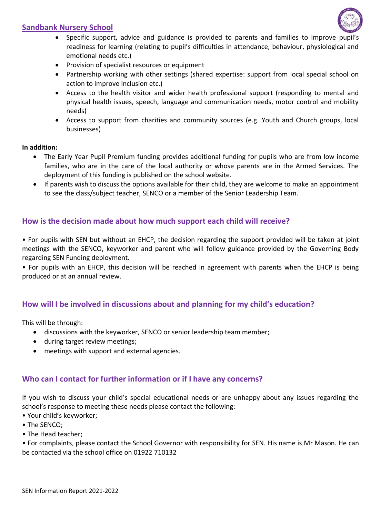

- Specific support, advice and guidance is provided to parents and families to improve pupil's readiness for learning (relating to pupil's difficulties in attendance, behaviour, physiological and emotional needs etc.)
- Provision of specialist resources or equipment
- Partnership working with other settings (shared expertise: support from local special school on action to improve inclusion etc.)
- Access to the health visitor and wider health professional support (responding to mental and physical health issues, speech, language and communication needs, motor control and mobility needs)
- Access to support from charities and community sources (e.g. Youth and Church groups, local businesses)

### **In addition:**

- The Early Year Pupil Premium funding provides additional funding for pupils who are from low income families, who are in the care of the local authority or whose parents are in the Armed Services. The deployment of this funding is published on the school website.
- If parents wish to discuss the options available for their child, they are welcome to make an appointment to see the class/subject teacher, SENCO or a member of the Senior Leadership Team.

# **How is the decision made about how much support each child will receive?**

• For pupils with SEN but without an EHCP, the decision regarding the support provided will be taken at joint meetings with the SENCO, keyworker and parent who will follow guidance provided by the Governing Body regarding SEN Funding deployment.

• For pupils with an EHCP, this decision will be reached in agreement with parents when the EHCP is being produced or at an annual review.

### **How will I be involved in discussions about and planning for my child's education?**

This will be through:

- discussions with the keyworker, SENCO or senior leadership team member;
- during target review meetings;
- meetings with support and external agencies.

### **Who can I contact for further information or if I have any concerns?**

If you wish to discuss your child's special educational needs or are unhappy about any issues regarding the school's response to meeting these needs please contact the following:

- Your child's keyworker;
- The SENCO;
- The Head teacher;

• For complaints, please contact the School Governor with responsibility for SEN. His name is Mr Mason. He can be contacted via the school office on 01922 710132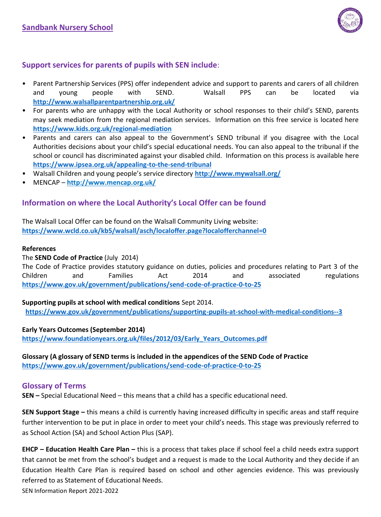

# **Support services for parents of pupils with SEN include**:

- Parent Partnership Services (PPS) offer independent advice and support to parents and carers of all children and young people with SEND. Walsall PPS can be located via **http://www.walsallparentpartnership.org.uk/**
- For parents who are unhappy with the Local Authority or school responses to their child's SEND, parents may seek mediation from the regional mediation services. Information on this free service is located here **https://www.kids.org.uk/regional-mediation**
- Parents and carers can also appeal to the Government's SEND tribunal if you disagree with the Local Authorities decisions about your child's special educational needs. You can also appeal to the tribunal if the school or council has discriminated against your disabled child. Information on this process is available here **https://www.ipsea.org.uk/appealing-to-the-send-tribunal**
- Walsall Children and young people's service directory **http://www.mywalsall.org/**
- MENCAP **http://www.mencap.org.uk/**

### **Information on where the Local Authority's Local Offer can be found**

The Walsall Local Offer can be found on the Walsall Community Living website: **https://www.wcld.co.uk/kb5/walsall/asch/localoffer.page?localofferchannel=0**

#### **References**

### The **SEND Code of Practice** (July 2014)

The Code of Practice provides statutory guidance on duties, policies and procedures relating to Part 3 of the Children and Families Act 2014 and associated regulations **<https://www.gov.uk/government/publications/send-code-of-practice-0-to-25>**

### **Supporting pupils at school with medical conditions** Sept 2014.

**<https://www.gov.uk/government/publications/supporting-pupils-at-school-with-medical-conditions--3>**

### **Early Years Outcomes (September 2014)**

**[https://www.foundationyears.org.uk/files/2012/03/Early\\_Years\\_Outcomes.pdf](https://www.foundationyears.org.uk/files/2012/03/Early_Years_Outcomes.pdf)**

**Glossary (A glossary of SEND terms is included in the appendices of the SEND Code of Practice <https://www.gov.uk/government/publications/send-code-of-practice-0-to-25>**

### **Glossary of Terms**

**SEN –** Special Educational Need – this means that a child has a specific educational need.

**SEN Support Stage –** this means a child is currently having increased difficulty in specific areas and staff require further intervention to be put in place in order to meet your child's needs. This stage was previously referred to as School Action (SA) and School Action Plus (SAP).

**EHCP – Education Health Care Plan –** this is a process that takes place if school feel a child needs extra support that cannot be met from the school's budget and a request is made to the Local Authority and they decide if an Education Health Care Plan is required based on school and other agencies evidence. This was previously referred to as Statement of Educational Needs.

SEN Information Report 2021-2022